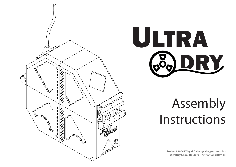



# Assembly Instructions

**Project #300417 by G.Calin (gcalin@uol.com.br) UltraDry Spool Holders - Instructions (Rev. B)**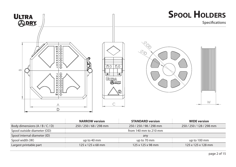

|                                   | <b>NARROW version</b>         | <b>STANDARD version</b> | <b>WIDE</b> version            |
|-----------------------------------|-------------------------------|-------------------------|--------------------------------|
| Body dimensions $(A / B / C / D)$ | 250 / 250 / 68 / 298 mm       | 250 / 250 / 98 / 298 mm | 250 / 250 / 128 / 298 mm       |
| Spool outside diameter (OD)       | from 140 mm to 210 mm         |                         |                                |
| Spool internal diameter (ID)      | any                           |                         |                                |
| Spool width (W)                   | up to 40 mm                   | up to 70 mm             | up to 100 mm                   |
| Largest printable part            | $125 \times 125 \times 68$ mm | 125 x 125 x 98 mm       | $125 \times 125 \times 128$ mm |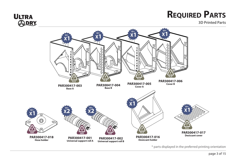

**3D Printed Parts**



\* parts displayed in the preferred printing orientation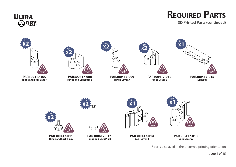

**3D Printed Parts (continued)**

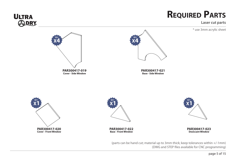

**Laser cut parts**



(DWG and STEP files available for CNC programming)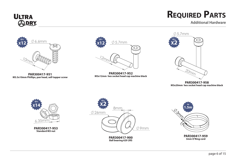### **ULTRA**<br>*SODRY*

### **Required Parts**

**Additional Hardware**

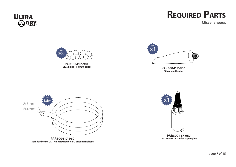

**Miscellaneous**



**Blue Silica (4~8mm balls)**



**PAR300417-956 Silicone adhesive**



**PAR300417-960 Standard 6mm OD / 4mm ID flexible PU pneumatic hose**



**PAR300417-957 Loctite 401 or similar super-glue**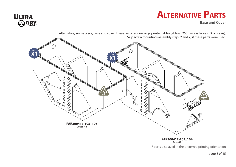### **Alternative Parts**



**Base and Cover**

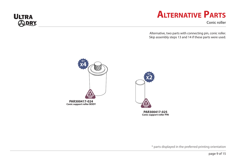

### **Alternative Parts**

**Conic roller**

Alternative, two parts with connecting pin, conic roller. Skip assembly steps 13 and 14 if these parts were used.



**PAR300417-025 Conic support roller PIN**

\* parts displayed in the preferred printing orientation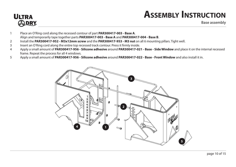# **ULTRA**<br>@DRY

### **Assembly Instruction**

**Base assembly**

- Place an O'Ring cord along the recessed contour of part **PAR300417-003 Base A**. Align and temporarily tape together parts **PAR300417-003 - Base A** and **PAR300417-004 - Base B**.
- Install the **PAR300417-952 M3x12mm screw** and the **PAR300417-953 M3 nut** on all 6 mounting pillars. Tight well.
- Insert an O'Ring cord along the entire top recessed track contour. Press it firmly inside.
- Apply a small amount of **PAR300417-956 Silicone adhesive** around **PAR300417-021 Base Side Window** and place it on the internal recessed frame. Repeat the process for all 4 windows.
- Apply a small amount of **PAR300417-956 Silicone adhesive** around **PAR300417-022 Base Front Window** and also install it in.

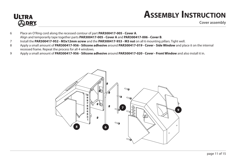## **ULTRA**<br>*SODRY*

### **Assembly Instruction**

**Cover assembly**

- 6 Place an O'Ring cord along the recessed contour of part **PAR300417-005 Cover A**. Align and temporarily tape together parts **PAR300417-005 - Cover A** and **PAR300417-006 - Cover B**.
- 7 Install the **PAR300417-952 M3x12mm screw** and the **PAR300417-953 M3 nut** on all 6 mounting pillars. Tight well.
- 8 Apply a small amount of **PAR300417-956 Silicone adhesive** around **PAR300417-019 Cover Side Window** and place it on the internal recessed frame. Repeat the process for all 4 windows.
- 9 Apply a small amount of **PAR300417-956 Silicone adhesive** around **PAR300417-020 Cover Front Window** and also install it in.

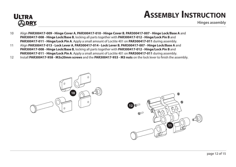

#### **Assembly Instruction**

**Hinges assembly**

- 10 Align **PAR300417-009 Hinge Cover A**, **PAR300417-010 Hinge Cover B**, **PAR300417-007 Hinge Lock/Base A** and **PAR300417-008 - Hinge Lock/Base B**, locking all parts together with **PAR300417-012 - Hinge/Lock Pin B** and **PAR300417-011 - Hinge/Lock Pin A**. Apply a small amount of Loctite 401 on **PAR300417-011** during assembly.
- 11 Align **PAR300417-013 Lock Lever A**, **PAR300417-014 Lock Lever B**, **PAR300417-007 Hinge Lock/Base A** and **PAR300417-008 - Hinge Lock/Base B**, locking all parts together with **PAR300417-012 - Hinge/Lock Pin B** and **PAR300417-011 - Hinge/Lock Pin A**. Apply a small amount of Loctite 401 on **PAR300417-011** during assembly.
- 12 Install **PAR300417-958 M3x20mm screws** and the **PAR300417-953 M3 nuts** on the lock lever to finish the assembly.



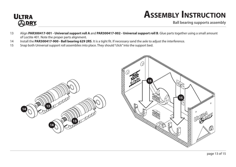### **ULTRA**<br>**CODRY**

### **Assembly Instruction**

**Ball bearing supports assembly**

- Align **PAR300417-001 Universal support roll A** and **PAR300417-002 Universal support roll B**. Glue parts together using a small amount of Loctite 401. Note the proper parts alignment.
- Install the **PAR300417-900 Ball bearing 629 2RS**. It is a tight fit. If necessary sand the axle to adjust the interference.
- Snap both Universal support roll assemblies into place. They should "click" into the support bed.



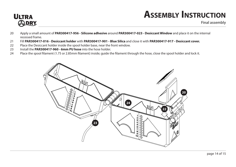

### **Assembly Instruction**

**Final assembly**

- Apply a small amount of **PAR300417-956 Silicone adhesive** around **PAR300417-023 Desiccant Window** and place it on the internal recessed frame.
- Fill **PAR300417-016 Desiccant holder** with **PAR300417-901 Blue Silica** and close it with **PAR300417-917 Desiccant cover.**
- Place the Desiccant holder inside the spool holder base, near the front window.
- Install the **PAR300417-960 6mm PU hose** into the hose holder.
- Place the spool filament (1.75 or 2.85mm filament) inside; guide the filament through the hose, close the spool holder and lock it.